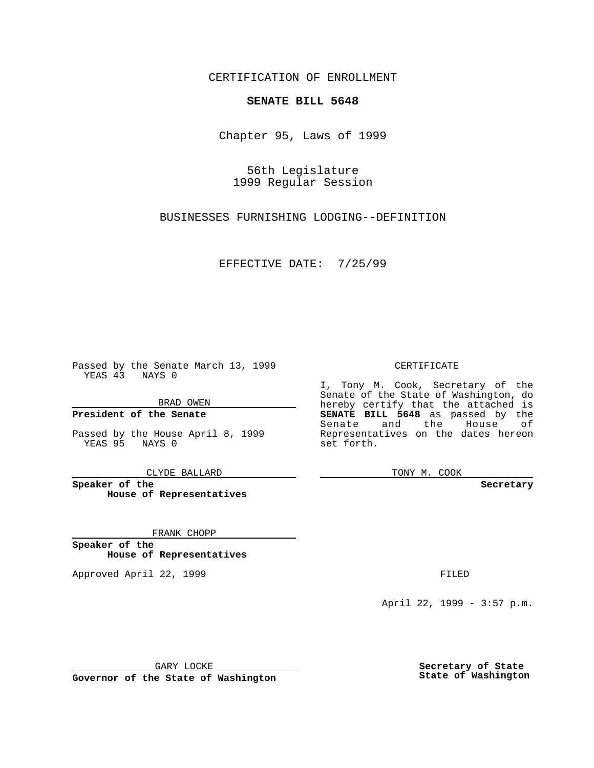CERTIFICATION OF ENROLLMENT

## **SENATE BILL 5648**

Chapter 95, Laws of 1999

56th Legislature 1999 Regular Session

BUSINESSES FURNISHING LODGING--DEFINITION

EFFECTIVE DATE: 7/25/99

Passed by the Senate March 13, 1999 YEAS 43 NAYS 0

BRAD OWEN

**President of the Senate**

Passed by the House April 8, 1999 YEAS 95 NAYS 0

CLYDE BALLARD

**Speaker of the House of Representatives**

FRANK CHOPP

**Speaker of the House of Representatives**

Approved April 22, 1999 **FILED** 

## CERTIFICATE

I, Tony M. Cook, Secretary of the Senate of the State of Washington, do hereby certify that the attached is **SENATE BILL 5648** as passed by the Senate and the House of Representatives on the dates hereon set forth.

TONY M. COOK

**Secretary**

April 22, 1999 - 3:57 p.m.

GARY LOCKE

**Governor of the State of Washington**

**Secretary of State State of Washington**